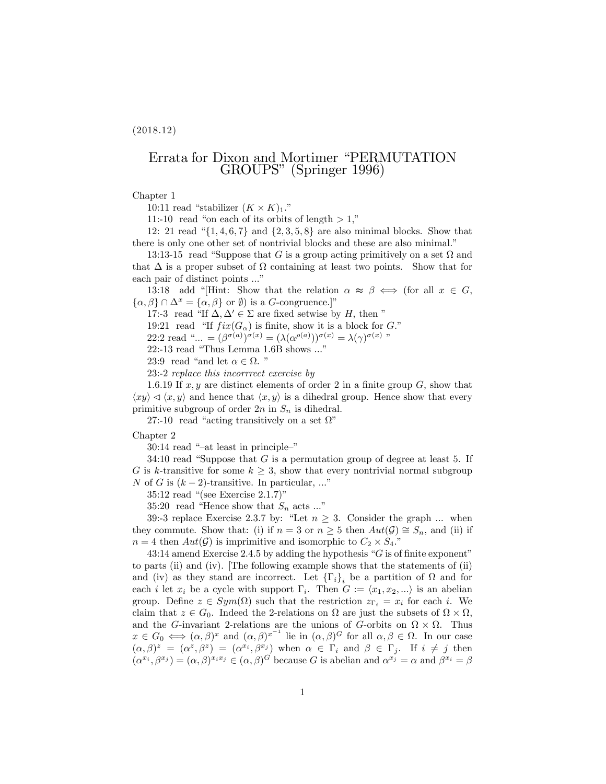$(2018.12)$ 

# Errata for Dixon and Mortimer "PERMUTATION" GROUPS" (Springer 1996)

### Chapter 1

10:11 read "stabilizer  $(K \times K)_1$ ."

11:-10 read "on each of its orbits of length  $> 1$ ,"

12: 21 read " $\{1, 4, 6, 7\}$  and  $\{2, 3, 5, 8\}$  are also minimal blocks. Show that there is only one other set of nontrivial blocks and these are also minimal."

13:13-15 read "Suppose that G is a group acting primitively on a set  $\Omega$  and that  $\Delta$  is a proper subset of  $\Omega$  containing at least two points. Show that for each pair of distinct points ..."

13:18 add "Hint: Show that the relation  $\alpha \approx \beta \iff$  (for all  $x \in G$ ,  $\{\alpha,\beta\}\cap\Delta^x=\{\alpha,\beta\}$  or  $\emptyset$ ) is a *G*-congruence.]"

17:-3 read "If  $\Delta, \Delta' \in \Sigma$  are fixed setwise by H, then "

19:21 read "If  $fix(G_{\alpha})$  is finite, show it is a block for G."

22:2 read "... =  $(\beta^{\sigma(a)})^{\sigma(x)} = (\lambda(\alpha^{\rho(a)}))^{\sigma(x)} = \lambda(\gamma)^{\sigma(x)}$  "

22:-13 read "Thus Lemma  $1.6B$  shows ..."

23:9 read "and let  $\alpha \in \Omega$ ."

23:-2 replace this incorrrect exercise by

1.6.19 If  $x, y$  are distinct elements of order 2 in a finite group  $G$ , show that  $\langle xy \rangle \triangleleft \langle x, y \rangle$  and hence that  $\langle x, y \rangle$  is a dihedral group. Hence show that every primitive subgroup of order  $2n$  in  $S_n$  is dihedral.

27:-10 read "acting transitively on a set  $\Omega$ "

#### Chapter 2

 $30:14$  read "-at least in principle-"

34:10 read "Suppose that  $G$  is a permutation group of degree at least 5. If G is k-transitive for some  $k \geq 3$ , show that every nontrivial normal subgroup N of G is  $(k-2)$ -transitive. In particular, ..."

35:12 read "(see Exercise  $2.1.7$ )"

35:20 read "Hence show that  $S_n$  acts ..."

39:-3 replace Exercise 2.3.7 by: "Let  $n \geq 3$ . Consider the graph ... when they commute. Show that: (i) if  $n = 3$  or  $n \geq 5$  then  $Aut(\mathcal{G}) \cong S_n$ , and (ii) if  $n = 4$  then  $Aut(\mathcal{G})$  is imprimitive and isomorphic to  $C_2 \times S_4$ ."

43:14 amend Exercise 2.4.5 by adding the hypothesis " $G$  is of finite exponent" to parts (ii) and (iv). The following example shows that the statements of (ii) and (iv) as they stand are incorrect. Let  $\{\Gamma_i\}_i$  be a partition of  $\Omega$  and for each *i* let  $x_i$  be a cycle with support  $\Gamma_i$ . Then  $G := \langle x_1, x_2, ...\rangle$  is an abelian group. Define  $z \in Sym(\Omega)$  such that the restriction  $z_{\Gamma_i} = x_i$  for each i. We claim that  $z \in G_0$ . Indeed the 2-relations on  $\Omega$  are just the subsets of  $\Omega \times \Omega$ , and the G-invariant 2-relations are the unions of G-orbits on  $\Omega \times \Omega$ . Thus  $x \in G_0 \iff (\alpha, \beta)^x$  and  $(\alpha, \beta)^{x^{-1}}$  lie in  $(\alpha, \beta)^G$  for all  $\alpha, \beta \in \Omega$ . In our case  $(\alpha, \beta)^z = (\alpha^z, \beta^z) = (\alpha^{x_i}, \beta^{x_j})$  when  $\alpha \in \Gamma_i$  and  $\beta \in \Gamma_j$ . If  $i \neq j$  then  $(\alpha^{x_i}, \beta^{x_j}) = (\alpha, \beta)^{x_i x_j} \in (\alpha, \beta)^G$  because G is abelian and  $\alpha^{x_j} = \alpha$  and  $\beta^{x_i} = \beta$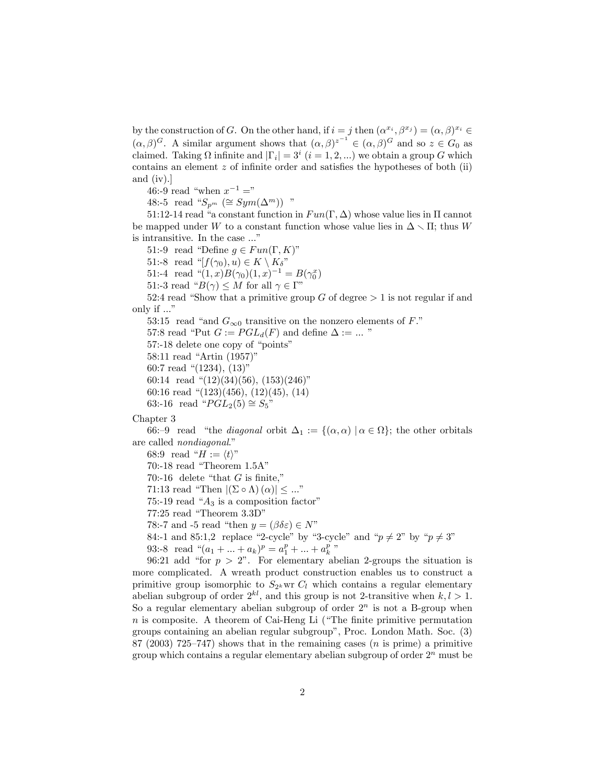by the construction of G. On the other hand, if  $i = j$  then  $(\alpha^{x_i}, \beta^{x_j}) = (\alpha, \beta)^{x_i} \in (\alpha, \beta)^G$ . A similar argument shows that  $(\alpha, \beta)^{z^{-1}} \in (\alpha, \beta)^G$  and so  $z \in G_0$  as claimed. Taking  $\Omega$  infinite and  $|\Gamma_i| = 3^i$   $(i = 1, 2, ...)$  we obtain a group G which contains an element  $z$  of infinite order and satisfies the hypotheses of both (ii) and  $(iv).$ 

46:-9 read "when  $x^{-1} =$ "

48:-5 read " $S_{n^m}$  ( $\cong Sym(\Delta^m)$ ) "

51:12-14 read "a constant function in  $Fun(\Gamma, \Delta)$  whose value lies in  $\Pi$  cannot be mapped under W to a constant function whose value lies in  $\Delta \setminus \Pi$ ; thus W is intransitive. In the case ..."

51:-9 read "Define  $g \in Fun(\Gamma, K)$ "

51:-8 read " $[f(\gamma_0), u) \in K \setminus K_{\delta}$ "

51:-4 read " $(1, x)B(\gamma_0)(1, x)^{-1} = B(\gamma_0^x)$ 

51:-3 read " $B(\gamma) \leq M$  for all  $\gamma \in \Gamma$ "

52.4 read "Show that a primitive group G of degree  $> 1$  is not regular if and only if ..."

53:15 read "and  $G_{\infty 0}$  transitive on the nonzero elements of F."

57:8 read "Put  $G := PGL_d(F)$  and define  $\Delta := ...$  "

57:-18 delete one copy of "points"

58:11 read "Artin  $(1957)$ "

60:7 read " $(1234)$ ,  $(13)$ "

60:14 read " $(12)(34)(56)$ ,  $(153)(246)$ "

60:16 read " $(123)(456)$ ,  $(12)(45)$ ,  $(14)$ 

63:-16 read " $PGL_2(5) \cong S_5$ "

Chapter 3

66:-9 read "the *diagonal* orbit  $\Delta_1 := \{(\alpha, \alpha) | \alpha \in \Omega\}$ ; the other orbitals are called *nondiagonal.*"

68:9 read " $H := \langle t \rangle$ "

70:-18 read "Theorem  $1.5A$ "

70:-16 delete "that  $G$  is finite,"

71:13 read "Then  $|(\Sigma \circ \Lambda)(\alpha)| \leq ...$ "

75:-19 read " $A_3$  is a composition factor"

77:25 read "Theorem 3.3D"

78:-7 and -5 read "then  $y = (\beta \delta \varepsilon) \in N$ "

84:-1 and 85:1,2 replace "2-cycle" by "3-cycle" and " $p \neq 2$ " by " $p \neq 3$ "

93:-8 read " $(a_1 + ... + a_k)^p = a_1^p + ... + a_k^p$ "

96:21 add "for  $p > 2$ ". For elementary abelian 2-groups the situation is more complicated. A wreath product construction enables us to construct a primitive group isomorphic to  $S_{2^k}$  wr  $C_l$  which contains a regular elementary abelian subgroup of order  $2^{kl}$ , and this group is not 2-transitive when  $k, l > 1$ . So a regular elementary abelian subgroup of order  $2^n$  is not a B-group when  $n$  is composite. A theorem of Cai-Heng Li ("The finite primitive permutation") groups containing an abelian regular subgroup", Proc. London Math. Soc. (3) 87 (2003) 725–747) shows that in the remaining cases (*n* is prime) a primitive group which contains a regular elementary abelian subgroup of order  $2^n$  must be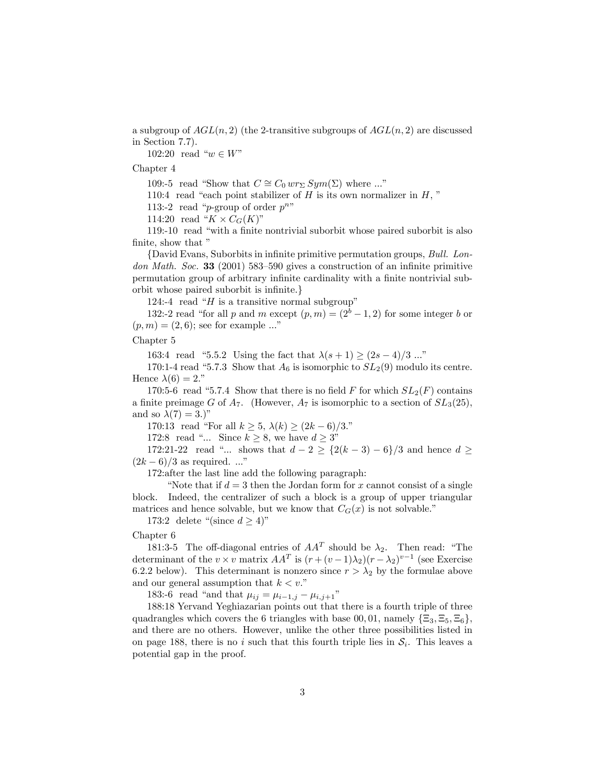a subgroup of  $AGL(n,2)$  (the 2-transitive subgroups of  $AGL(n,2)$  are discussed in Section  $7.7$ ).

102:20 read " $w \in W$ "

Chapter 4

109:-5 read "Show that  $C \cong C_0 w r_{\Sigma} Sym(\Sigma)$  where ..."

110:4 read "each point stabilizer of  $H$  is its own normalizer in  $H$ ,"

113:-2 read "p-group of order  $p^{n}$ "

114:20 read " $K \times C_G(K)$ "

119:-10 read "with a finite nontrivial suborbit whose paired suborbit is also finite, show that "

{David Evans, Suborbits in infinite primitive permutation groups, Bull. London Math. Soc. 33 (2001) 583-590 gives a construction of an infinite primitive permutation group of arbitrary infinite cardinality with a finite nontrivial suborbit whose paired suborbit is infinite.

124:-4 read " $H$  is a transitive normal subgroup"

132:-2 read "for all p and m except  $(p,m) = (2^{b}-1, 2)$  for some integer b or  $(p,m) = (2,6)$ ; see for example ..."

## Chapter 5

163:4 read "5.5.2 Using the fact that  $\lambda(s+1) \ge (2s-4)/3$  ..."

170:1-4 read "5.7.3 Show that  $A_6$  is isomorphic to  $SL_2(9)$  modulo its centre. Hence  $\lambda(6) = 2$ ."

170:5-6 read "5.7.4 Show that there is no field F for which  $SL_2(F)$  contains a finite preimage G of  $A_7$ . (However,  $A_7$  is isomorphic to a section of  $SL_3(25)$ , and so  $\lambda(7) = 3.$ )"

170:13 read "For all  $k \ge 5$ ,  $\lambda(k) \ge (2k-6)/3$ ."

172:8 read "... Since  $k \geq 8$ , we have  $d \geq 3$ "

172:21-22 read "... shows that  $d - 2 \geq \{2(k-3) - 6\}/3$  and hence  $d \geq$  $(2k-6)/3$  as required. ..."

172: after the last line add the following paragraph:

"Note that if  $d=3$  then the Jordan form for x cannot consist of a single block. Indeed, the centralizer of such a block is a group of upper triangular matrices and hence solvable, but we know that  $C_G(x)$  is not solvable."

173:2 delete "(since  $d \geq 4$ )"

## Chapter 6

181:3-5 The off-diagonal entries of  $AA<sup>T</sup>$  should be  $\lambda_2$ . Then read: "The determinant of the  $v \times v$  matrix  $AA^T$  is  $(r + (v - 1)\lambda_2)(r - \lambda_2)^{v-1}$  (see Exercise 6.2.2 below). This determinant is nonzero since  $r > \lambda_2$  by the formulae above and our general assumption that  $k < v$ ."

183:-6 read "and that  $\mu_{ij} = \mu_{i-1,j} - \mu_{i,j+1}$ "

188:18 Yervand Yeghiazarian points out that there is a fourth triple of three quadrangles which covers the 6 triangles with base 00,01, namely  $\{\Xi_3, \Xi_5, \Xi_6\}$ , and there are no others. However, unlike the other three possibilities listed in on page 188, there is no i such that this fourth triple lies in  $S_i$ . This leaves a potential gap in the proof.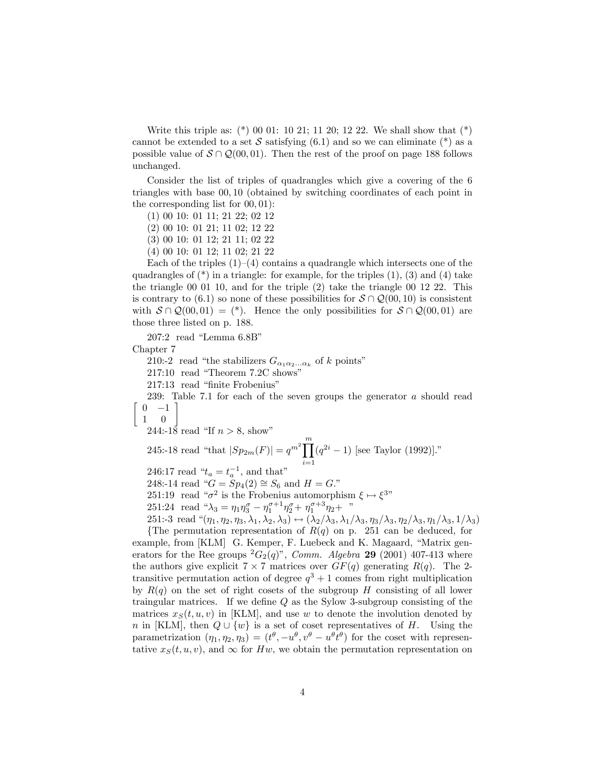Write this triple as:  $(*)$  00 01: 10 21; 11 20; 12 22. We shall show that  $(*)$ cannot be extended to a set S satisfying (6.1) and so we can eliminate (\*) as a possible value of  $S \cap \mathcal{Q}(00,01)$ . Then the rest of the proof on page 188 follows unchanged.

Consider the list of triples of quadrangles which give a covering of the 6 triangles with base 00, 10 (obtained by switching coordinates of each point in the corresponding list for  $(0, 01)$ :

 $(1)$  00 10: 01 11; 21 22; 02 12

- $(2)$  00 10: 01 21; 11 02; 12 22
- $(3)$  00 10: 01 12; 21 11; 02 22
- $(4)$  00 10: 01 12; 11 02; 21 22

Each of the triples  $(1)$ – $(4)$  contains a quadrangle which intersects one of the quadrangles of  $(*)$  in a triangle: for example, for the triples  $(1)$ ,  $(3)$  and  $(4)$  take the triangle 00 01 10, and for the triple  $(2)$  take the triangle 00 12 22. This is contrary to (6.1) so none of these possibilities for  $S \cap \mathcal{Q}(00, 10)$  is consistent with  $S \cap Q(00,01) =$  (\*). Hence the only possibilities for  $S \cap Q(00,01)$  are those three listed on p. 188.

 $207:2$  read "Lemma  $6.8B$ "

Chapter 7

210:-2 read "the stabilizers  $G_{\alpha_1 \alpha_2...\alpha_k}$  of k points"

- 217:10 read "Theorem 7.2C shows"
- 217:13 read "finite Frobenius"

239: Table 7.1 for each of the seven groups the generator  $a$  should read  $0 -1$ 

 $\overline{m}$ 

 $\mathbf{1}$  $\overline{0}$ 

244:-18 read "If  $n > 8$ , show"

245:-18 read "that 
$$
|Sp_{2m}(F)| = q^{m^2} \prod_{i=1} (q^{2i} - 1)
$$
 [see Taylor (1992)]."

246:17 read "
$$
t_a = t_a^{-1}
$$
, and that"

248:-14 read " $G = Sp_4(2) \cong S_6$  and  $H = G$ ."

- 251:19 read " $\sigma^2$  is the Frobenius automorphism  $\xi \mapsto \xi^{3n}$
- 251:24 read " $\lambda_3 = \eta_1 \eta_3^{\sigma} \eta_1^{\sigma+1} \eta_2^{\sigma} + \eta_1^{\sigma+3} \eta_2 +$ "

251:-3 read " $(\eta_1, \eta_2, \eta_3, \lambda_1, \lambda_2, \lambda_3) \leftrightarrow (\lambda_2/\lambda_3, \lambda_1/\lambda_3, \eta_3/\lambda_3, \eta_2/\lambda_3, \eta_1/\lambda_3, 1/\lambda_3)$ {The permutation representation of  $R(q)$  on p. 251 can be deduced, for

example, from [KLM] G. Kemper, F. Luebeck and K. Magaard, "Matrix generators for the Ree groups  ${}^2G_2(q)$ ", *Comm. Algebra* 29 (2001) 407-413 where the authors give explicit  $7 \times 7$  matrices over  $GF(q)$  generating  $R(q)$ . The 2transitive permutation action of degree  $q^3 + 1$  comes from right multiplication by  $R(q)$  on the set of right cosets of the subgroup H consisting of all lower traingular matrices. If we define  $Q$  as the Sylow 3-subgroup consisting of the matrices  $x_S(t, u, v)$  in [KLM], and use w to denote the involution denoted by *n* in [KLM], then  $Q \cup \{w\}$  is a set of coset representatives of H. Using the parametrization  $(\eta_1, \eta_2, \eta_3) = (t^{\theta}, -u^{\theta}, v^{\theta} - u^{\theta} \overline{t^{\theta}})$  for the coset with representative  $x_S(t, u, v)$ , and  $\infty$  for Hw, we obtain the permutation representation on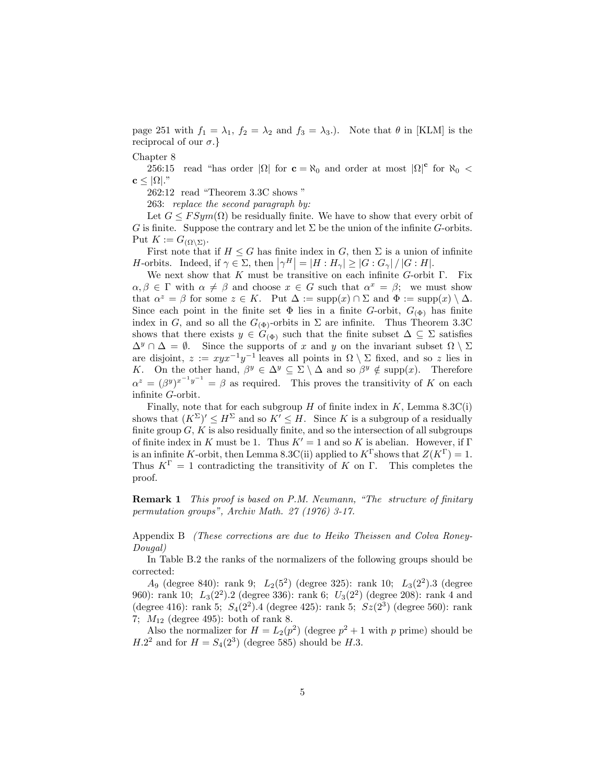page 251 with  $f_1 = \lambda_1$ ,  $f_2 = \lambda_2$  and  $f_3 = \lambda_3$ .). Note that  $\theta$  in [KLM] is the reciprocal of our  $\sigma$ .}

Chapter 8

read "has order  $|\Omega|$  for  $\mathbf{c} = \aleph_0$  and order at most  $|\Omega|^{\mathbf{c}}$  for  $\aleph_0$  < 256:15  $\mathbf{c} \leq |\Omega|$ ."

262:12 read "Theorem 3.3C shows"

263: replace the second paragraph by:

Let  $G \leq FSym(\Omega)$  be residually finite. We have to show that every orbit of G is finite. Suppose the contrary and let  $\Sigma$  be the union of the infinite G-orbits. Put  $K := G_{(\Omega \setminus \Sigma)}$ .

First note that if  $H \leq G$  has finite index in G, then  $\Sigma$  is a union of infinite *H*-orbits. Indeed, if  $\gamma \in \Sigma$ , then  $|\gamma^H| = |H : H_{\gamma}| \geq |G : G_{\gamma}| / |G : H|$ .

We next show that  $K$  must be transitive on each infinite  $G$ -orbit  $\Gamma$ . Fix  $\alpha, \beta \in \Gamma$  with  $\alpha \neq \beta$  and choose  $x \in G$  such that  $\alpha^x = \beta$ ; we must show that  $\alpha^z = \beta$  for some  $z \in K$ . Put  $\Delta := \text{supp}(x) \cap \Sigma$  and  $\Phi := \text{supp}(x) \setminus \Delta$ . Since each point in the finite set  $\Phi$  lies in a finite G-orbit,  $G_{(\Phi)}$  has finite index in G, and so all the  $G_{(\Phi)}$ -orbits in  $\Sigma$  are infinite. Thus Theorem 3.3C shows that there exists  $y \in G_{(\Phi)}$  such that the finite subset  $\Delta \subseteq \Sigma$  satisfies  $\Delta^y \cap \Delta = \emptyset$ . Since the supports of x and y on the invariant subset  $\Omega \setminus \Sigma$ are disjoint,  $z := xyx^{-1}y^{-1}$  leaves all points in  $\Omega \setminus \Sigma$  fixed, and so z lies in K. On the other hand,  $\beta^y \in \Delta^y \subseteq \Sigma \setminus \Delta$  and so  $\beta^y \notin \text{supp}(x)$ . Therefore  $\alpha^{z} = (\beta^{y})^{x^{-1}y^{-1}} = \beta$  as required. This proves the transitivity of K on each infinite  $G$ -orbit.

Finally, note that for each subgroup  $H$  of finite index in  $K$ , Lemma 8.3C(i) shows that  $(K^{\Sigma})' \leq H^{\Sigma}$  and so  $K' \leq H$ . Since K is a subgroup of a residually finite group  $G, K$  is also residually finite, and so the intersection of all subgroups of finite index in K must be 1. Thus  $K' = 1$  and so K is abelian. However, if  $\Gamma$ is an infinite K-orbit, then Lemma 8.3C(ii) applied to  $K^{\Gamma}$  shows that  $Z(K^{\Gamma}) = 1$ . Thus  $K^{\Gamma} = 1$  contradicting the transitivity of K on  $\Gamma$ . This completes the proof.

**Remark 1** This proof is based on P.M. Neumann, "The structure of finitary permutation groups", Archiv Math. 27 (1976) 3-17.

Appendix B *(These corrections are due to Heiko Theissen and Colva Roney-* $Douqal)$ 

In Table B.2 the ranks of the normalizers of the following groups should be corrected:

 $A_9$  (degree 840): rank 9;  $L_2(5^2)$  (degree 325): rank 10;  $L_3(2^2)$ .3 (degree 960): rank 10;  $L_3(2^2)$ .2 (degree 336): rank 6;  $U_3(2^2)$  (degree 208): rank 4 and (degree 416): rank 5;  $S_4(2^2)$ .4 (degree 425): rank 5;  $S_2(2^3)$  (degree 560): rank 7;  $M_{12}$  (degree 495): both of rank 8.

Also the normalizer for  $H = L_2(p^2)$  (degree  $p^2 + 1$  with p prime) should be  $H.2<sup>2</sup>$  and for  $H = S<sub>4</sub>(2<sup>3</sup>)$  (degree 585) should be H.3.